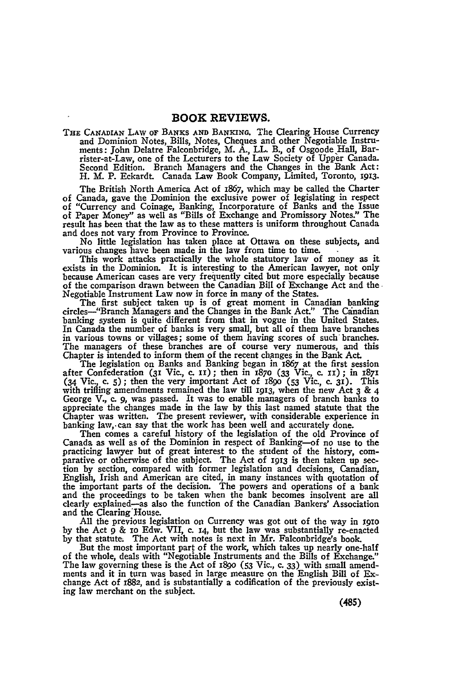**THE CANADIAN** LAW **OF BANKS AND BANKING.** The Clearing House Currency and Dominion Notes, Bills, Notes, Cheques and other Negotiable Instruments: John Delatre Falconbridge, M. A., LL. B., of Osgoode Hall, Barrister-at-Law, one of the Lecturers to the Law Society of Upper Canada. Second Edition. Branch Managers and the Changes in the Bank Act: H. M. P. Eckardt. Canada Law Book Company, Limited, Toronto, 1913.

The British North America Act of 1867, which may be called the Charter of Canada, gave the Dominion the exclusive power of legislating in respect of "Currency and Coinage, Banking, Incorporature of Banks and the Issue of Paper Money" as well as "Bills of Exchange and Promissory Notes." The result has been that the law as to these matters is uniform throughout Canada and does not vary from Province to Province.

No little legislation has taken place at Ottawa on these subjects, and various changes have been made in the law from time to time.

This work attacks practically the whole statutory law of money as it exists in the Dominion. It is interesting to the American lawyer, not only because American cases are very frequently cited but more especially because of the comparison drawn between the Canadian Bill of Exchange Act and the Negotiable Instrument Law now in force in many of the States.

The first subject taken up is of great moment in Canadian banking circles-"Branch Managers and the Changes in the Bank Act." The Canadian banking system is quite different from that in vogue in the United States. In Canada the number of banks is very small, but all of them have branches in various towns or villages; some of them having scores of such branches. The managers of these branches are of course very numerous, and this Chapter is intended to inform them of the recent changes in the Bank Act.

The legislation on Banks and Banking began in 1867 at the first session<br>after Confederation (31 Vic., c. 11); then in 1870 (33 Vic., c. 11); in 1871<br>(34 Vic., c. 5); then the very important Act of 1890 (53 Vic., c. 31). Th with trifling amendments remained the law till **1913,** when the new Act 3 **&** 4 George V., c. *9,* was passed. It was to enable managers of branch banks to appreciate the changes made in the law **by** this last named statute that the Chapter was written. The present reviewer, with considerable experience in banking law, can say that the work has been well and accurately done.

Then comes a careful history of the legislation of the old Province of Canada as well as of the Dominion in respect of Banking-of no use to the practicing lawyer but of great interest to the student of the history, com- parative or otherwise of the subject. The Act of **1913** is then taken up section **by** section, compared with former legislation and decisions, Canadian, English, Irish and American are cited, in many instances with quotation of the important parts of the decision. The powers and operations of a bank and the proceedings to be taken when the bank becomes insolvent are all clearly explained-as also the function of the Canadian Bankers' Association and the Clearing'House.

**All** the previous legislation on Currency was got out of the way in **I9io by** the Act **9** & io Edw. VII, c. **T4,** but the law was substantially re-enacted **by** that statute. The Act with notes is next in Mr. Falconbridge's book.

But the most important part of the work, which takes up nearly one-half of the whole, deals with "Negotiable Instruments and the Bills of Exchange." The law governing these is the Act of i8go **(53** Vic., c. **33)** with small amendments and it in turn was based in large measure on the English Bill **of Ex**change Act of 1882, and is substantially a codification of the previously existing law merchant on the subject.